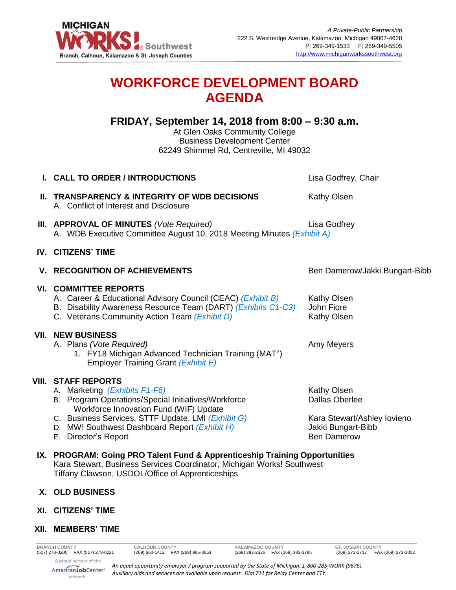

# **WORKFORCE DEVELOPMENT BOARD AGENDA**

**FRIDAY, September 14, 2018 from 8:00 – 9:30 a.m.**

At Glen Oaks Community College Business Development Center 62249 Shimmel Rd, Centreville, MI 49032

| <b>I. CALL TO ORDER / INTRODUCTIONS</b>                                                                                                                                                                                                                                                     | Lisa Godfrey, Chair                                                                                                    |
|---------------------------------------------------------------------------------------------------------------------------------------------------------------------------------------------------------------------------------------------------------------------------------------------|------------------------------------------------------------------------------------------------------------------------|
| II. TRANSPARENCY & INTEGRITY OF WDB DECISIONS<br>A. Conflict of Interest and Disclosure                                                                                                                                                                                                     | <b>Kathy Olsen</b>                                                                                                     |
| <b>III. APPROVAL OF MINUTES</b> (Vote Required)<br>A. WDB Executive Committee August 10, 2018 Meeting Minutes (Exhibit A)                                                                                                                                                                   | Lisa Godfrey                                                                                                           |
| <b>IV. CITIZENS' TIME</b>                                                                                                                                                                                                                                                                   |                                                                                                                        |
| <b>V. RECOGNITION OF ACHIEVEMENTS</b>                                                                                                                                                                                                                                                       | Ben Damerow/Jakki Bungart-Bibb                                                                                         |
| <b>VI. COMMITTEE REPORTS</b><br>A. Career & Educational Advisory Council (CEAC) (Exhibit B)<br>B. Disability Awareness Resource Team (DART) (Exhibits C1-C3)<br>C. Veterans Community Action Team (Exhibit D)                                                                               | <b>Kathy Olsen</b><br>John Fiore<br>Kathy Olsen                                                                        |
| <b>VII. NEW BUSINESS</b><br>A. Plans (Vote Required)<br>1. FY18 Michigan Advanced Technician Training (MAT <sup>2</sup> )<br>Employer Training Grant (Exhibit E)                                                                                                                            | Amy Meyers                                                                                                             |
| <b>VIII. STAFF REPORTS</b><br>A. Marketing (Exhibits F1-F6)<br>B. Program Operations/Special Initiatives/Workforce<br>Workforce Innovation Fund (WIF) Update<br>C. Business Services, STTF Update, LMI (Exhibit G)<br>D. MW! Southwest Dashboard Report (Exhibit H)<br>E. Director's Report | <b>Kathy Olsen</b><br><b>Dallas Oberlee</b><br>Kara Stewart/Ashley Iovieno<br>Jakki Bungart-Bibb<br><b>Ben Damerow</b> |
| IX. PROGRAM: Going PRO Talent Fund & Apprenticeship Training Opportunities                                                                                                                                                                                                                  |                                                                                                                        |

Kara Stewart, Business Services Coordinator, Michigan Works! Southwest Tiffany Clawson, USDOL/Office of Apprenticeships

## **X. OLD BUSINESS**

**XI. CITIZENS' TIME**

## **XII. MEMBERS' TIME**

A proud partner of the AmericanJobCenter<sup>®</sup> network

*An equal opportunity employer / program supported by the State of Michigan. 1-800-285-WORK (9675). Auxiliary aids and services are available upon request. Dial 711 for Relay Center and TTY.*